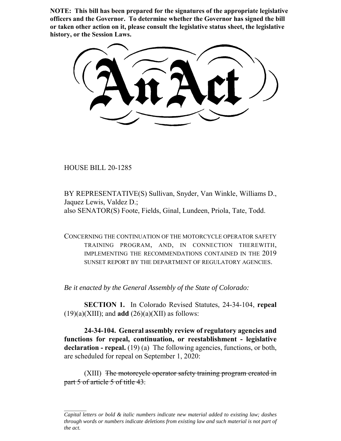**NOTE: This bill has been prepared for the signatures of the appropriate legislative officers and the Governor. To determine whether the Governor has signed the bill or taken other action on it, please consult the legislative status sheet, the legislative history, or the Session Laws.**

HOUSE BILL 20-1285

BY REPRESENTATIVE(S) Sullivan, Snyder, Van Winkle, Williams D., Jaquez Lewis, Valdez D.; also SENATOR(S) Foote, Fields, Ginal, Lundeen, Priola, Tate, Todd.

CONCERNING THE CONTINUATION OF THE MOTORCYCLE OPERATOR SAFETY TRAINING PROGRAM, AND, IN CONNECTION THEREWITH, IMPLEMENTING THE RECOMMENDATIONS CONTAINED IN THE 2019 SUNSET REPORT BY THE DEPARTMENT OF REGULATORY AGENCIES.

*Be it enacted by the General Assembly of the State of Colorado:*

**SECTION 1.** In Colorado Revised Statutes, 24-34-104, **repeal**  $(19)(a)(XIII)$ ; and **add**  $(26)(a)(XII)$  as follows:

**24-34-104. General assembly review of regulatory agencies and functions for repeal, continuation, or reestablishment - legislative** declaration - repeal. (19) (a) The following agencies, functions, or both, are scheduled for repeal on September 1, 2020:

(XIII) The motorcycle operator safety training program created in part 5 of article 5 of title 43.

*Capital letters or bold & italic numbers indicate new material added to existing law; dashes through words or numbers indicate deletions from existing law and such material is not part of the act.*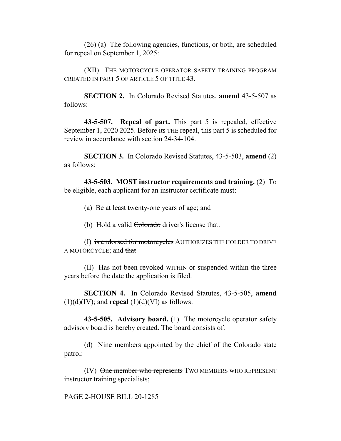(26) (a) The following agencies, functions, or both, are scheduled for repeal on September 1, 2025:

(XII) THE MOTORCYCLE OPERATOR SAFETY TRAINING PROGRAM CREATED IN PART 5 OF ARTICLE 5 OF TITLE 43.

**SECTION 2.** In Colorado Revised Statutes, **amend** 43-5-507 as follows:

**43-5-507. Repeal of part.** This part 5 is repealed, effective September 1,  $\frac{2020}{2025}$ . Before its THE repeal, this part 5 is scheduled for review in accordance with section 24-34-104.

**SECTION 3.** In Colorado Revised Statutes, 43-5-503, **amend** (2) as follows:

**43-5-503. MOST instructor requirements and training.** (2) To be eligible, each applicant for an instructor certificate must:

(a) Be at least twenty-one years of age; and

(b) Hold a valid Colorado driver's license that:

(I) is endorsed for motorcycles AUTHORIZES THE HOLDER TO DRIVE A MOTORCYCLE; and that

(II) Has not been revoked WITHIN or suspended within the three years before the date the application is filed.

**SECTION 4.** In Colorado Revised Statutes, 43-5-505, **amend**  $(1)(d)(IV)$ ; and **repeal**  $(1)(d)(VI)$  as follows:

**43-5-505. Advisory board.** (1) The motorcycle operator safety advisory board is hereby created. The board consists of:

(d) Nine members appointed by the chief of the Colorado state patrol:

(IV) One member who represents TWO MEMBERS WHO REPRESENT instructor training specialists;

PAGE 2-HOUSE BILL 20-1285